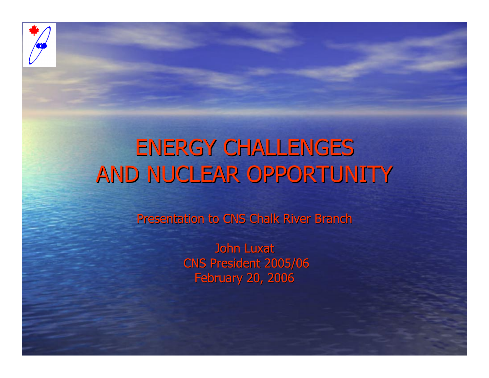

### ENERGY CHALLENGES AND NUCLEAR OPPORTUNITY

Presentation to CNS Chalk River Branch

John Luxat CNS President 2005/06 **February 20, 2006**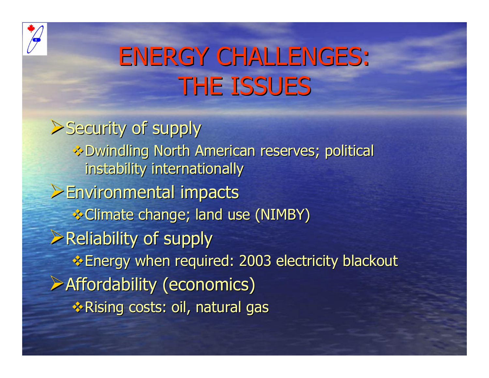

# **ENERGY CHALLENGES: THE ISSUES**

 $\blacktriangleright$  Security of supply **EDwindling North American reserves; political &** instability internationally ¾Environmental impacts Environmental impacts  **☆ Climate change; land use (NIMBY)**  $\triangleright$  Reliability of supply Energy when required: 2003 electricity blackout Energy when required: 2003 electricity blackout  $\triangleright$  Affordability (economics) ◆ Rising costs: oil, natural gas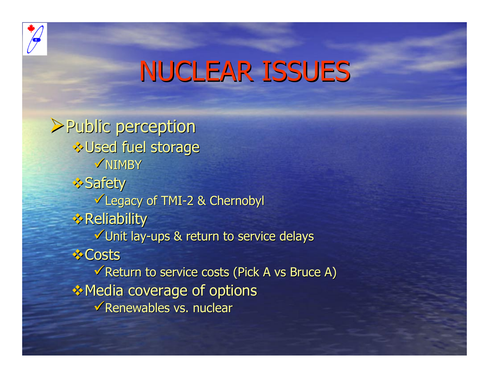

## **NUCLEAR ISSUES**

¾Public perception Public perception **& Used fuel storage**  $\sqrt{NIMBY}$ *\*> Safety* Legacy of TMI-2 & Chernobyl  $\triangle$  Reliability  $\checkmark$ Unit lay-ups & return to service delays *<b>* Costs  $\sqrt{\overline{R}}$ Return to service costs (Pick A vs Bruce A) **EXA** Media coverage of options  $\checkmark$  Renewables vs. nuclear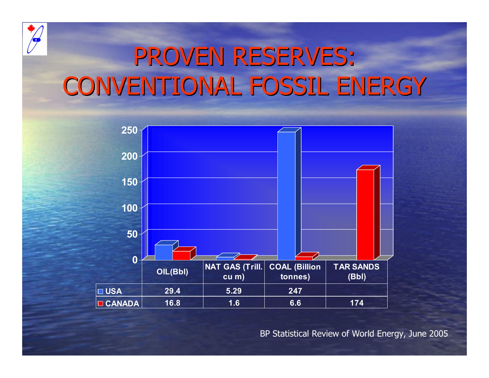

## PROVEN RESERVES: CONVENTIONAL FOSSIL ENERGY



BP Statistical Review of World Energy, June 2005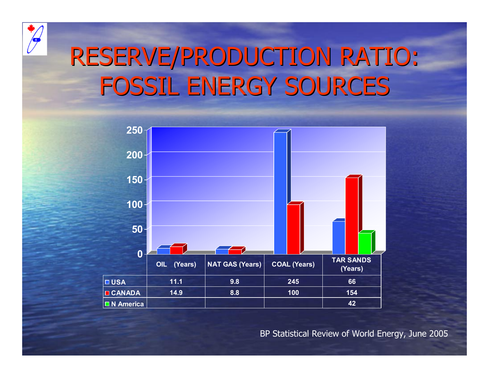

## RESERVE/PRODUCTION RATIO: FOSSIL ENERGY SOURCES



BP Statistical Review of World Energy, June 2005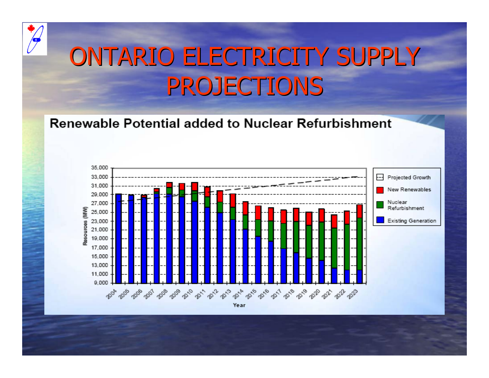

# ONTARIO ELECTRICITY SUPPLY **PROJECTIONS**

#### **Renewable Potential added to Nuclear Refurbishment**



Year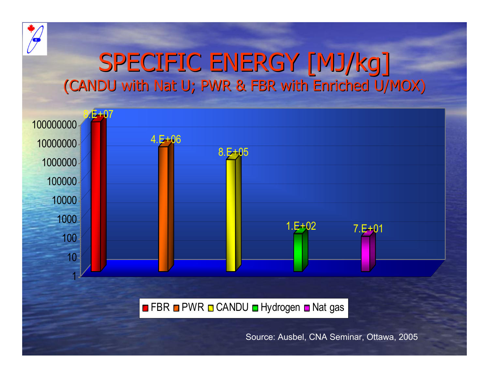

### SPECIFIC ENERGY [MJ/kg] (CANDU with Nat U; PWR & FBR with Enriched U/MOX)



FBR **□** PWR **□** CANDU **□** Hydrogen ■ Nat gas

Source: Ausbel, CNA Seminar, Ottawa, 2005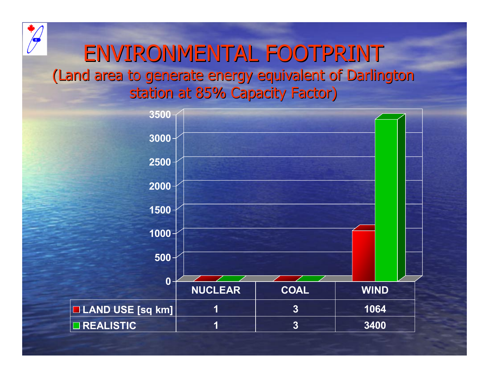### ENVIRONMENTAL FOOTPRINT (Land area to generate energy equivalent of Darlington (Land area to generate energy equivalent of Darlington station at 85% Capacity Factor)

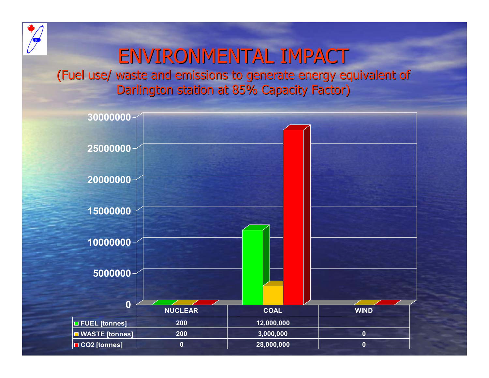

### ENVIRONMENTAL IMPACT

(Fuel use/ waste and emissions to generate energy equivalent of Darlington station at 85% Capacity Factor)